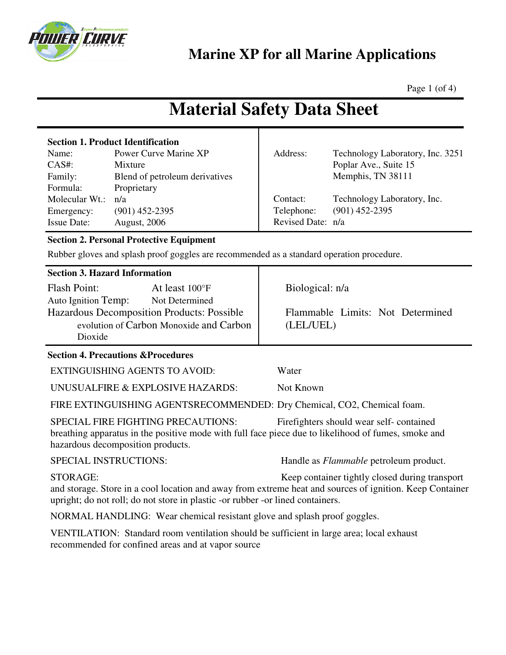

### **Marine XP for all Marine Applications**

Page  $1$  (of  $4$ )

# **Material Safety Data Sheet**

|                    | <b>Section 1. Product Identification</b> |                   |                                  |
|--------------------|------------------------------------------|-------------------|----------------------------------|
| Name:              | Power Curve Marine XP                    | Address:          | Technology Laboratory, Inc. 3251 |
| $CAS#$ :           | <b>Mixture</b>                           |                   | Poplar Ave., Suite 15            |
| Family:            | Blend of petroleum derivatives           |                   | Memphis, TN 38111                |
| Formula:           | Proprietary                              |                   |                                  |
| Molecular Wt.:     | n/a                                      | Contact:          | Technology Laboratory, Inc.      |
| Emergency:         | $(901)$ 452-2395                         | Telephone:        | $(901)$ 452-2395                 |
| <b>Issue Date:</b> | <b>August, 2006</b>                      | Revised Date: n/a |                                  |

### **Section 2. Personal Protective Equipment**

Rubber gloves and splash proof goggles are recommended as a standard operation procedure.

|  |  |  | <b>Section 3. Hazard Information</b> |
|--|--|--|--------------------------------------|
|--|--|--|--------------------------------------|

| Flash Point:                                      | At least 100°F |  |  |  |  |
|---------------------------------------------------|----------------|--|--|--|--|
| Auto Ignition Temp:                               | Not Determined |  |  |  |  |
| <b>Hazardous Decomposition Products: Possible</b> |                |  |  |  |  |
| evolution of Carbon Monoxide and Carbon           |                |  |  |  |  |
| Dioxide                                           |                |  |  |  |  |

### **Section 4. Precautions &Procedures**

EXTINGUISHING AGENTS TO AVOID: Water

UNUSUALFIRE & EXPLOSIVE HAZARDS: Not Known

FIRE EXTINGUISHING AGENTSRECOMMENDED: Dry Chemical, CO2, Chemical foam.

SPECIAL FIRE FIGHTING PRECAUTIONS: Firefighters should wear self- contained breathing apparatus in the positive mode with full face piece due to likelihood of fumes, smoke and hazardous decomposition products.

SPECIAL INSTRUCTIONS: Handle as *Flammable* petroleum product.

Flammable Limits: Not Determined

STORAGE: Keep container tightly closed during transport and storage. Store in a cool location and away from extreme heat and sources of ignition. Keep Container upright; do not roll; do not store in plastic -or rubber -or lined containers.

NORMAL HANDLING: Wear chemical resistant glove and splash proof goggles.

VENTILATION: Standard room ventilation should be sufficient in large area; local exhaust recommended for confined areas and at vapor source

Biological: n/a

(LEL/UEL)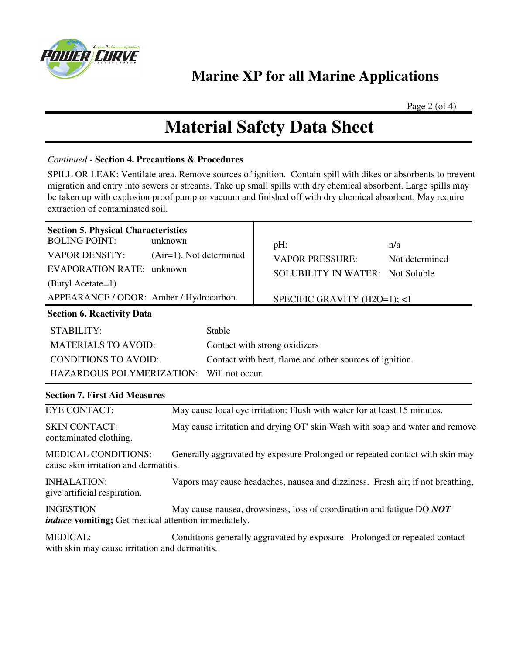

**Marine XP for all Marine Applications**

Page 2 (of 4)

### **Material Safety Data Sheet**

#### *Continued -* **Section 4. Precautions & Procedures**

SPILL OR LEAK: Ventilate area. Remove sources of ignition. Contain spill with dikes or absorbents to prevent migration and entry into sewers or streams. Take up small spills with dry chemical absorbent. Large spills may be taken up with explosion proof pump or vacuum and finished off with dry chemical absorbent. May require extraction of contaminated soil.

| <b>Section 5. Physical Characteristics</b><br><b>BOLING POINT:</b><br><b>VAPOR DENSITY:</b><br><b>EVAPORATION RATE: unknown</b><br>(Butyl Acetate=1)<br>APPEARANCE / ODOR: Amber / Hydrocarbon. | unknown<br>$(Air=1)$ . Not determined                                                                                               | pH:<br><b>VAPOR PRESSURE:</b><br><b>SOLUBILITY IN WATER:</b> Not Soluble<br>SPECIFIC GRAVITY (H2O=1); <1 | n/a<br>Not determined |  |  |  |
|-------------------------------------------------------------------------------------------------------------------------------------------------------------------------------------------------|-------------------------------------------------------------------------------------------------------------------------------------|----------------------------------------------------------------------------------------------------------|-----------------------|--|--|--|
| <b>Section 6. Reactivity Data</b>                                                                                                                                                               |                                                                                                                                     |                                                                                                          |                       |  |  |  |
| <b>STABILITY:</b>                                                                                                                                                                               | Stable                                                                                                                              |                                                                                                          |                       |  |  |  |
| <b>MATERIALS TO AVOID:</b>                                                                                                                                                                      |                                                                                                                                     | Contact with strong oxidizers                                                                            |                       |  |  |  |
| <b>CONDITIONS TO AVOID:</b>                                                                                                                                                                     |                                                                                                                                     | Contact with heat, flame and other sources of ignition.                                                  |                       |  |  |  |
| HAZARDOUS POLYMERIZATION:<br>Will not occur.                                                                                                                                                    |                                                                                                                                     |                                                                                                          |                       |  |  |  |
| <b>Section 7. First Aid Measures</b>                                                                                                                                                            |                                                                                                                                     |                                                                                                          |                       |  |  |  |
| <b>EYE CONTACT:</b>                                                                                                                                                                             |                                                                                                                                     | May cause local eye irritation: Flush with water for at least 15 minutes.                                |                       |  |  |  |
| <b>SKIN CONTACT:</b><br>contaminated clothing.                                                                                                                                                  |                                                                                                                                     | May cause irritation and drying OT' skin Wash with soap and water and remove                             |                       |  |  |  |
| <b>MEDICAL CONDITIONS:</b><br>Generally aggravated by exposure Prolonged or repeated contact with skin may<br>cause skin irritation and dermatitis.                                             |                                                                                                                                     |                                                                                                          |                       |  |  |  |
| <b>INHALATION:</b><br>give artificial respiration.                                                                                                                                              | Vapors may cause headaches, nausea and dizziness. Fresh air; if not breathing,                                                      |                                                                                                          |                       |  |  |  |
| <b>INGESTION</b>                                                                                                                                                                                | May cause nausea, drowsiness, loss of coordination and fatigue DO NOT<br><i>induce</i> vomiting; Get medical attention immediately. |                                                                                                          |                       |  |  |  |
| <b>MEDICAL:</b><br>Conditions generally aggravated by exposure. Prolonged or repeated contact<br>with skin may cause irritation and dermatitis.                                                 |                                                                                                                                     |                                                                                                          |                       |  |  |  |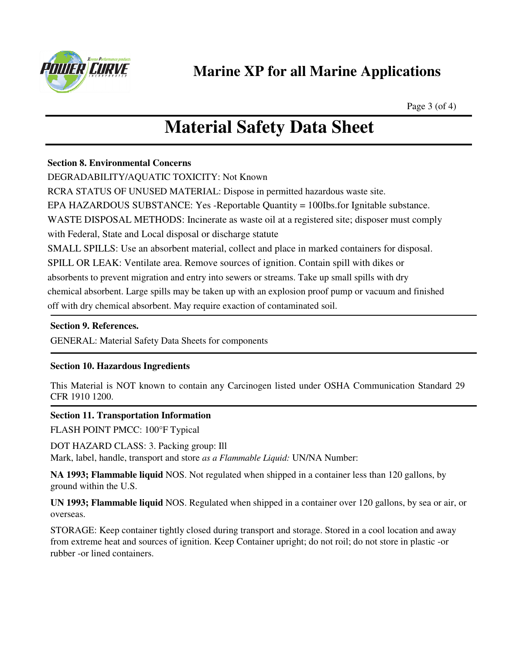

### **Marine XP for all Marine Applications**

Page 3 (of 4)

## **Material Safety Data Sheet**

### **Section 8. Environmental Concerns**

DEGRADABILITY/AQUATIC TOXICITY: Not Known

RCRA STATUS OF UNUSED MATERIAL: Dispose in permitted hazardous waste site.

EPA HAZARDOUS SUBSTANCE: Yes -Reportable Quantity = 100Ibs.for Ignitable substance.

WASTE DISPOSAL METHODS: Incinerate as waste oil at a registered site; disposer must comply

with Federal, State and Local disposal or discharge statute

SMALL SPILLS: Use an absorbent material, collect and place in marked containers for disposal.

SPILL OR LEAK: Ventilate area. Remove sources of ignition. Contain spill with dikes or

absorbents to prevent migration and entry into sewers or streams. Take up small spills with dry

chemical absorbent. Large spills may be taken up with an explosion proof pump or vacuum and finished

off with dry chemical absorbent. May require exaction of contaminated soil.

### **Section 9. References.**

GENERAL: Material Safety Data Sheets for components

### **Section 10. Hazardous Ingredients**

This Material is NOT known to contain any Carcinogen listed under OSHA Communication Standard 29 CFR 1910 1200.

### **Section 11. Transportation Information**

FLASH POINT PMCC: 100°F Typical

DOT HAZARD CLASS: 3. Packing group: Ill

Mark, label, handle, transport and store *as a Flammable Liquid:* UN/NA Number:

**NA 1993; Flammable liquid** NOS. Not regulated when shipped in a container less than 120 gallons, by ground within the U.S.

**UN 1993; Flammable liquid** NOS. Regulated when shipped in a container over 120 gallons, by sea or air, or overseas.

STORAGE: Keep container tightly closed during transport and storage. Stored in a cool location and away from extreme heat and sources of ignition. Keep Container upright; do not roil; do not store in plastic -or rubber -or lined containers.